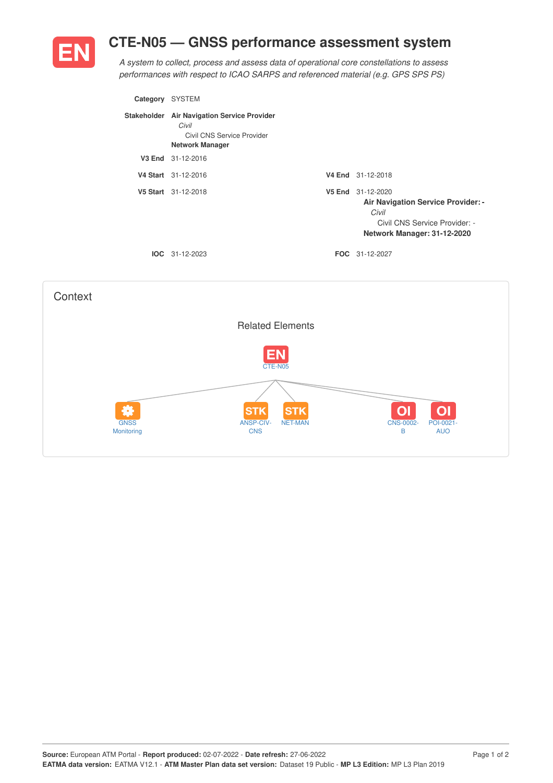## **CTE-N05 — GNSS performance assessment system**



*A system to collect, process and assess data of operational core constellations to assess performances with respect to ICAO SARPS and referenced material (e.g. GPS SPS PS)*

| Category | <b>SYSTEM</b>                                                                                                |        |                                                                                                                                  |
|----------|--------------------------------------------------------------------------------------------------------------|--------|----------------------------------------------------------------------------------------------------------------------------------|
|          | Stakeholder Air Navigation Service Provider<br>Civil<br>Civil CNS Service Provider<br><b>Network Manager</b> |        |                                                                                                                                  |
|          | V3 End 31-12-2016                                                                                            |        |                                                                                                                                  |
|          | V4 Start 31-12-2016                                                                                          |        | V4 End 31-12-2018                                                                                                                |
|          | V5 Start 31-12-2018                                                                                          | V5 End | 31-12-2020<br><b>Air Navigation Service Provider: -</b><br>Civil<br>Civil CNS Service Provider: -<br>Network Manager: 31-12-2020 |
|          | $IOC 31-12-2023$                                                                                             |        | <b>FOC</b> 31-12-2027                                                                                                            |